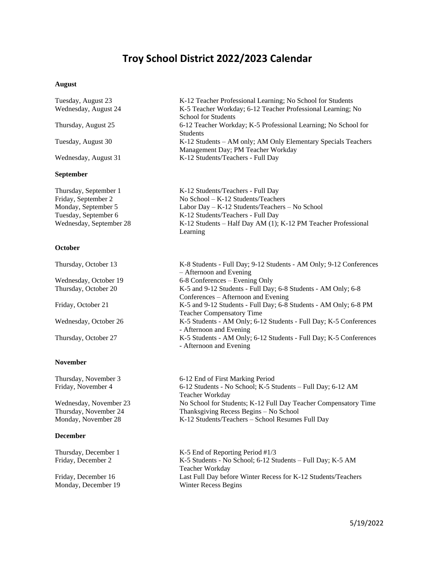# **Troy School District 2022/2023 Calendar**

### **August**

| Tuesday, August 23<br>Wednesday, August 24 | K-12 Teacher Professional Learning; No School for Students<br>K-5 Teacher Workday; 6-12 Teacher Professional Learning; No<br><b>School for Students</b> |  |  |  |  |
|--------------------------------------------|---------------------------------------------------------------------------------------------------------------------------------------------------------|--|--|--|--|
| Thursday, August 25                        | 6-12 Teacher Workday; K-5 Professional Learning; No School for<br><b>Students</b>                                                                       |  |  |  |  |
| Tuesday, August 30                         | K-12 Students – AM only; AM Only Elementary Specials Teachers<br>Management Day; PM Teacher Workday                                                     |  |  |  |  |
| Wednesday, August 31                       | K-12 Students/Teachers - Full Day                                                                                                                       |  |  |  |  |
| <b>September</b>                           |                                                                                                                                                         |  |  |  |  |
| Thursday, September 1                      | K-12 Students/Teachers - Full Day                                                                                                                       |  |  |  |  |
| Friday, September 2                        | No School - K-12 Students/Teachers                                                                                                                      |  |  |  |  |
| Monday, September 5                        | Labor Day – K-12 Students/Teachers – No School                                                                                                          |  |  |  |  |
| Tuesday, September 6                       | K-12 Students/Teachers - Full Day                                                                                                                       |  |  |  |  |
| Wednesday, September 28                    | K-12 Students – Half Day AM (1); K-12 PM Teacher Professional<br>Learning                                                                               |  |  |  |  |
| October                                    |                                                                                                                                                         |  |  |  |  |
| Thursday, October 13                       | K-8 Students - Full Day; 9-12 Students - AM Only; 9-12 Conferences<br>- Afternoon and Evening                                                           |  |  |  |  |
| Wednesday, October 19                      | 6-8 Conferences – Evening Only                                                                                                                          |  |  |  |  |
| Thursday, October 20                       | K-5 and 9-12 Students - Full Day; 6-8 Students - AM Only; 6-8<br>Conferences – Afternoon and Evening                                                    |  |  |  |  |

Teacher Compensatory Time

- Afternoon and Evening

- Afternoon and Evening

Friday, October 21 K-5 and 9-12 Students - Full Day; 6-8 Students - AM Only; 6-8 PM

Wednesday, October 26 K-5 Students - AM Only; 6-12 Students - Full Day; K-5 Conferences

Thursday, October 27 K-5 Students - AM Only; 6-12 Students - Full Day; K-5 Conferences

### **November**

## **December**

Monday, December 19 Winter Recess Begins

Thursday, November 3 6-12 End of First Marking Period Friday, November 4 6-12 Students - No School; K-5 Students – Full Day; 6-12 AM Teacher Workday Wednesday, November 23 No School for Students; K-12 Full Day Teacher Compensatory Time Thursday, November 24 Thanksgiving Recess Begins – No School Monday, November 28 K-12 Students/Teachers – School Resumes Full Day

Thursday, December 1 K-5 End of Reporting Period #1/3 Friday, December 2 K-5 Students - No School; 6-12 Students – Full Day; K-5 AM Teacher Workday Friday, December 16 Last Full Day before Winter Recess for K-12 Students/Teachers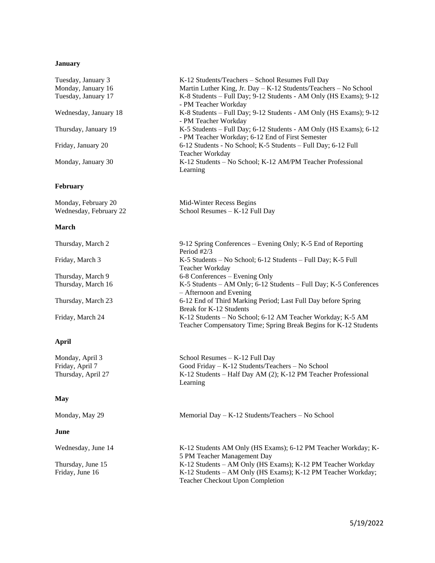# **January**

| Tuesday, January 3                    | K-12 Students/Teachers - School Resumes Full Day                                                                                                                       |  |  |  |  |
|---------------------------------------|------------------------------------------------------------------------------------------------------------------------------------------------------------------------|--|--|--|--|
| Monday, January 16                    | Martin Luther King, Jr. Day - K-12 Students/Teachers - No School                                                                                                       |  |  |  |  |
| Tuesday, January 17                   | K-8 Students - Full Day; 9-12 Students - AM Only (HS Exams); 9-12<br>- PM Teacher Workday                                                                              |  |  |  |  |
| Wednesday, January 18                 | K-8 Students - Full Day; 9-12 Students - AM Only (HS Exams); 9-12<br>- PM Teacher Workday                                                                              |  |  |  |  |
| Thursday, January 19                  | K-5 Students - Full Day; 6-12 Students - AM Only (HS Exams); 6-12<br>- PM Teacher Workday; 6-12 End of First Semester                                                  |  |  |  |  |
| Friday, January 20                    | 6-12 Students - No School; K-5 Students - Full Day; 6-12 Full<br>Teacher Workday                                                                                       |  |  |  |  |
| Monday, January 30                    | K-12 Students - No School; K-12 AM/PM Teacher Professional<br>Learning                                                                                                 |  |  |  |  |
| February                              |                                                                                                                                                                        |  |  |  |  |
| Monday, February 20                   | Mid-Winter Recess Begins                                                                                                                                               |  |  |  |  |
| Wednesday, February 22                | School Resumes - K-12 Full Day                                                                                                                                         |  |  |  |  |
| March                                 |                                                                                                                                                                        |  |  |  |  |
| Thursday, March 2                     | 9-12 Spring Conferences – Evening Only; K-5 End of Reporting<br>Period #2/3                                                                                            |  |  |  |  |
| Friday, March 3                       | K-5 Students - No School; 6-12 Students - Full Day; K-5 Full<br>Teacher Workday                                                                                        |  |  |  |  |
| Thursday, March 9                     | 6-8 Conferences – Evening Only                                                                                                                                         |  |  |  |  |
| Thursday, March 16                    | K-5 Students - AM Only; 6-12 Students - Full Day; K-5 Conferences<br>- Afternoon and Evening                                                                           |  |  |  |  |
| Thursday, March 23                    | 6-12 End of Third Marking Period; Last Full Day before Spring<br>Break for K-12 Students                                                                               |  |  |  |  |
| Friday, March 24                      | K-12 Students - No School; 6-12 AM Teacher Workday; K-5 AM<br>Teacher Compensatory Time; Spring Break Begins for K-12 Students                                         |  |  |  |  |
| <b>April</b>                          |                                                                                                                                                                        |  |  |  |  |
| Monday, April 3                       | School Resumes - K-12 Full Day                                                                                                                                         |  |  |  |  |
| Friday, April 7<br>Thursday, April 27 | Good Friday - K-12 Students/Teachers - No School<br>K-12 Students - Half Day AM (2); K-12 PM Teacher Professional<br>Learning                                          |  |  |  |  |
| <b>May</b>                            |                                                                                                                                                                        |  |  |  |  |
| Monday, May 29                        | Memorial Day - K-12 Students/Teachers - No School                                                                                                                      |  |  |  |  |
| June                                  |                                                                                                                                                                        |  |  |  |  |
| Wednesday, June 14                    | K-12 Students AM Only (HS Exams); 6-12 PM Teacher Workday; K-<br>5 PM Teacher Management Day                                                                           |  |  |  |  |
| Thursday, June 15<br>Friday, June 16  | K-12 Students - AM Only (HS Exams); K-12 PM Teacher Workday<br>K-12 Students - AM Only (HS Exams); K-12 PM Teacher Workday;<br><b>Teacher Checkout Upon Completion</b> |  |  |  |  |